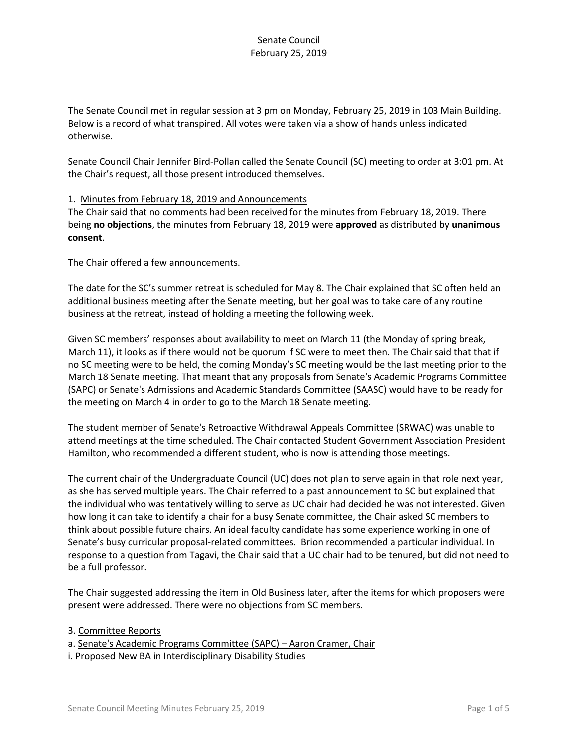The Senate Council met in regular session at 3 pm on Monday, February 25, 2019 in 103 Main Building. Below is a record of what transpired. All votes were taken via a show of hands unless indicated otherwise.

Senate Council Chair Jennifer Bird-Pollan called the Senate Council (SC) meeting to order at 3:01 pm. At the Chair's request, all those present introduced themselves.

#### 1. Minutes from February 18, 2019 and Announcements

The Chair said that no comments had been received for the minutes from February 18, 2019. There being **no objections**, the minutes from February 18, 2019 were **approved** as distributed by **unanimous consent**.

The Chair offered a few announcements.

The date for the SC's summer retreat is scheduled for May 8. The Chair explained that SC often held an additional business meeting after the Senate meeting, but her goal was to take care of any routine business at the retreat, instead of holding a meeting the following week.

Given SC members' responses about availability to meet on March 11 (the Monday of spring break, March 11), it looks as if there would not be quorum if SC were to meet then. The Chair said that that if no SC meeting were to be held, the coming Monday's SC meeting would be the last meeting prior to the March 18 Senate meeting. That meant that any proposals from Senate's Academic Programs Committee (SAPC) or Senate's Admissions and Academic Standards Committee (SAASC) would have to be ready for the meeting on March 4 in order to go to the March 18 Senate meeting.

The student member of Senate's Retroactive Withdrawal Appeals Committee (SRWAC) was unable to attend meetings at the time scheduled. The Chair contacted Student Government Association President Hamilton, who recommended a different student, who is now is attending those meetings.

The current chair of the Undergraduate Council (UC) does not plan to serve again in that role next year, as she has served multiple years. The Chair referred to a past announcement to SC but explained that the individual who was tentatively willing to serve as UC chair had decided he was not interested. Given how long it can take to identify a chair for a busy Senate committee, the Chair asked SC members to think about possible future chairs. An ideal faculty candidate has some experience working in one of Senate's busy curricular proposal-related committees. Brion recommended a particular individual. In response to a question from Tagavi, the Chair said that a UC chair had to be tenured, but did not need to be a full professor.

The Chair suggested addressing the item in Old Business later, after the items for which proposers were present were addressed. There were no objections from SC members.

3. Committee Reports

a. Senate's Academic Programs Committee (SAPC) – Aaron Cramer, Chair

i. Proposed New BA in Interdisciplinary Disability Studies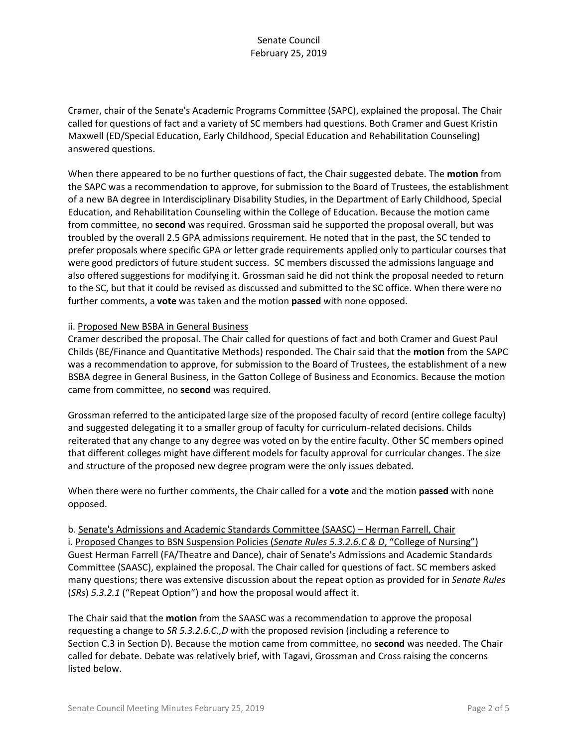Cramer, chair of the Senate's Academic Programs Committee (SAPC), explained the proposal. The Chair called for questions of fact and a variety of SC members had questions. Both Cramer and Guest Kristin Maxwell (ED/Special Education, Early Childhood, Special Education and Rehabilitation Counseling) answered questions.

When there appeared to be no further questions of fact, the Chair suggested debate. The **motion** from the SAPC was a recommendation to approve, for submission to the Board of Trustees, the establishment of a new BA degree in Interdisciplinary Disability Studies, in the Department of Early Childhood, Special Education, and Rehabilitation Counseling within the College of Education. Because the motion came from committee, no **second** was required. Grossman said he supported the proposal overall, but was troubled by the overall 2.5 GPA admissions requirement. He noted that in the past, the SC tended to prefer proposals where specific GPA or letter grade requirements applied only to particular courses that were good predictors of future student success. SC members discussed the admissions language and also offered suggestions for modifying it. Grossman said he did not think the proposal needed to return to the SC, but that it could be revised as discussed and submitted to the SC office. When there were no further comments, a **vote** was taken and the motion **passed** with none opposed.

#### ii. Proposed New BSBA in General Business

Cramer described the proposal. The Chair called for questions of fact and both Cramer and Guest Paul Childs (BE/Finance and Quantitative Methods) responded. The Chair said that the **motion** from the SAPC was a recommendation to approve, for submission to the Board of Trustees, the establishment of a new BSBA degree in General Business, in the Gatton College of Business and Economics. Because the motion came from committee, no **second** was required.

Grossman referred to the anticipated large size of the proposed faculty of record (entire college faculty) and suggested delegating it to a smaller group of faculty for curriculum-related decisions. Childs reiterated that any change to any degree was voted on by the entire faculty. Other SC members opined that different colleges might have different models for faculty approval for curricular changes. The size and structure of the proposed new degree program were the only issues debated.

When there were no further comments, the Chair called for a **vote** and the motion **passed** with none opposed.

# b. Senate's Admissions and Academic Standards Committee (SAASC) – Herman Farrell, Chair i. Proposed Changes to BSN Suspension Policies (*Senate Rules 5.3.2.6.C & D*, "College of Nursing") Guest Herman Farrell (FA/Theatre and Dance), chair of Senate's Admissions and Academic Standards Committee (SAASC), explained the proposal. The Chair called for questions of fact. SC members asked many questions; there was extensive discussion about the repeat option as provided for in *Senate Rules*  (*SRs*) *5.3.2.1* ("Repeat Option") and how the proposal would affect it.

The Chair said that the **motion** from the SAASC was a recommendation to approve the proposal requesting a change to *SR 5.3.2.6.C.,D* with the proposed revision (including a reference to Section C.3 in Section D). Because the motion came from committee, no **second** was needed. The Chair called for debate. Debate was relatively brief, with Tagavi, Grossman and Cross raising the concerns listed below.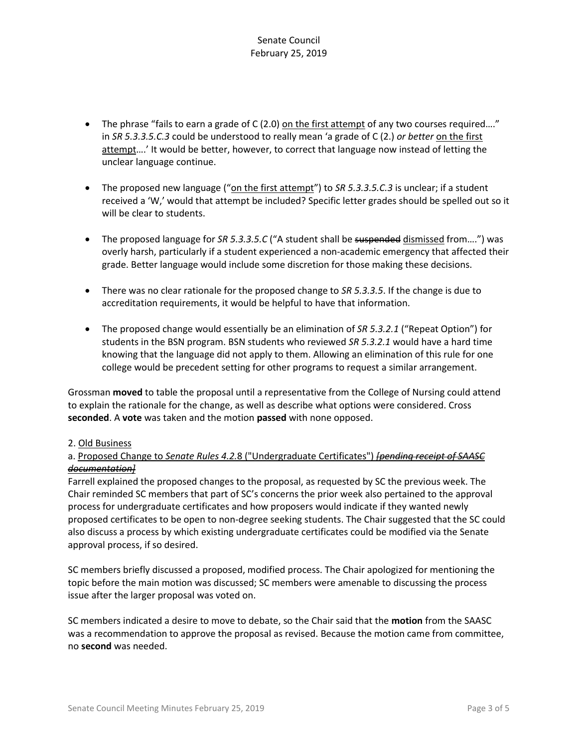- The phrase "fails to earn a grade of C (2.0) on the first attempt of any two courses required...." in *SR 5.3.3.5.C.3* could be understood to really mean 'a grade of C (2.) *or better* on the first attempt....' It would be better, however, to correct that language now instead of letting the unclear language continue.
- The proposed new language ("on the first attempt") to *SR 5.3.3.5.C.3* is unclear; if a student received a 'W,' would that attempt be included? Specific letter grades should be spelled out so it will be clear to students.
- The proposed language for *SR 5.3.3.5.C* ("A student shall be suspended dismissed from….") was overly harsh, particularly if a student experienced a non-academic emergency that affected their grade. Better language would include some discretion for those making these decisions.
- There was no clear rationale for the proposed change to *SR 5.3.3.5*. If the change is due to accreditation requirements, it would be helpful to have that information.
- The proposed change would essentially be an elimination of *SR 5.3.2.1* ("Repeat Option") for students in the BSN program. BSN students who reviewed *SR 5.3.2.1* would have a hard time knowing that the language did not apply to them. Allowing an elimination of this rule for one college would be precedent setting for other programs to request a similar arrangement.

Grossman **moved** to table the proposal until a representative from the College of Nursing could attend to explain the rationale for the change, as well as describe what options were considered. Cross **seconded**. A **vote** was taken and the motion **passed** with none opposed.

## 2. Old Business

# a. Proposed Change to *Senate Rules 4.2.*8 ("Undergraduate Certificates") *[pending receipt of SAASC documentation]*

Farrell explained the proposed changes to the proposal, as requested by SC the previous week. The Chair reminded SC members that part of SC's concerns the prior week also pertained to the approval process for undergraduate certificates and how proposers would indicate if they wanted newly proposed certificates to be open to non-degree seeking students. The Chair suggested that the SC could also discuss a process by which existing undergraduate certificates could be modified via the Senate approval process, if so desired.

SC members briefly discussed a proposed, modified process. The Chair apologized for mentioning the topic before the main motion was discussed; SC members were amenable to discussing the process issue after the larger proposal was voted on.

SC members indicated a desire to move to debate, so the Chair said that the **motion** from the SAASC was a recommendation to approve the proposal as revised. Because the motion came from committee, no **second** was needed.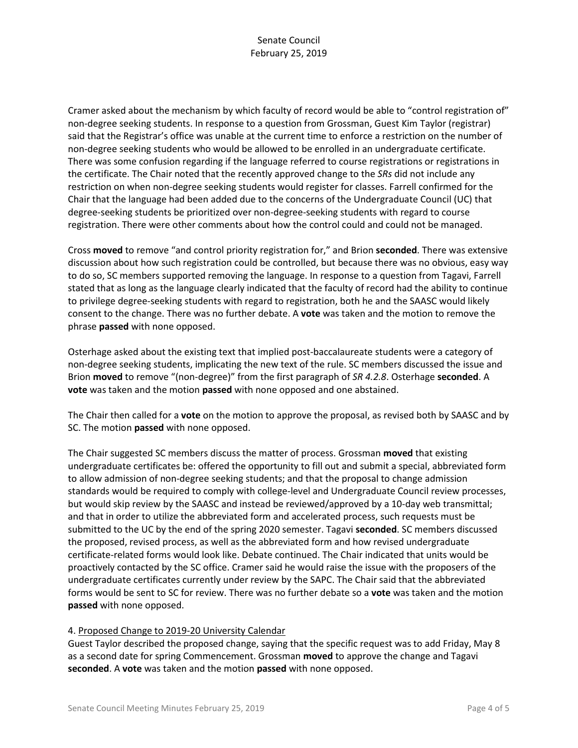Cramer asked about the mechanism by which faculty of record would be able to "control registration of" non-degree seeking students. In response to a question from Grossman, Guest Kim Taylor (registrar) said that the Registrar's office was unable at the current time to enforce a restriction on the number of non-degree seeking students who would be allowed to be enrolled in an undergraduate certificate. There was some confusion regarding if the language referred to course registrations or registrations in the certificate. The Chair noted that the recently approved change to the *SRs* did not include any restriction on when non-degree seeking students would register for classes. Farrell confirmed for the Chair that the language had been added due to the concerns of the Undergraduate Council (UC) that degree-seeking students be prioritized over non-degree-seeking students with regard to course registration. There were other comments about how the control could and could not be managed.

Cross **moved** to remove "and control priority registration for," and Brion **seconded**. There was extensive discussion about how such registration could be controlled, but because there was no obvious, easy way to do so, SC members supported removing the language. In response to a question from Tagavi, Farrell stated that as long as the language clearly indicated that the faculty of record had the ability to continue to privilege degree-seeking students with regard to registration, both he and the SAASC would likely consent to the change. There was no further debate. A **vote** was taken and the motion to remove the phrase **passed** with none opposed.

Osterhage asked about the existing text that implied post-baccalaureate students were a category of non-degree seeking students, implicating the new text of the rule. SC members discussed the issue and Brion **moved** to remove "(non-degree)" from the first paragraph of *SR 4.2.8*. Osterhage **seconded**. A **vote** was taken and the motion **passed** with none opposed and one abstained.

The Chair then called for a **vote** on the motion to approve the proposal, as revised both by SAASC and by SC. The motion **passed** with none opposed.

The Chair suggested SC members discuss the matter of process. Grossman **moved** that existing undergraduate certificates be: offered the opportunity to fill out and submit a special, abbreviated form to allow admission of non-degree seeking students; and that the proposal to change admission standards would be required to comply with college-level and Undergraduate Council review processes, but would skip review by the SAASC and instead be reviewed/approved by a 10-day web transmittal; and that in order to utilize the abbreviated form and accelerated process, such requests must be submitted to the UC by the end of the spring 2020 semester. Tagavi **seconded**. SC members discussed the proposed, revised process, as well as the abbreviated form and how revised undergraduate certificate-related forms would look like. Debate continued. The Chair indicated that units would be proactively contacted by the SC office. Cramer said he would raise the issue with the proposers of the undergraduate certificates currently under review by the SAPC. The Chair said that the abbreviated forms would be sent to SC for review. There was no further debate so a **vote** was taken and the motion **passed** with none opposed.

## 4. Proposed Change to 2019-20 University Calendar

Guest Taylor described the proposed change, saying that the specific request was to add Friday, May 8 as a second date for spring Commencement. Grossman **moved** to approve the change and Tagavi **seconded**. A **vote** was taken and the motion **passed** with none opposed.